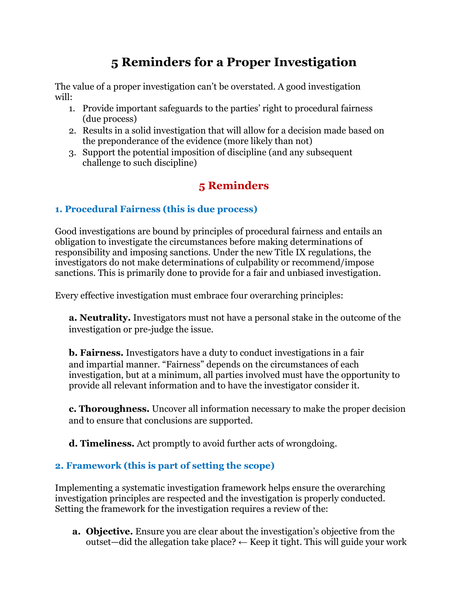# **5 Reminders for a Proper Investigation**

The value of a proper investigation can't be overstated. A good investigation will:

- 1. Provide important safeguards to the parties' right to procedural fairness (due process)
- 2. Results in a solid investigation that will allow for a decision made based on the preponderance of the evidence (more likely than not)
- 3. Support the potential imposition of discipline (and any subsequent challenge to such discipline)

## **5 Reminders**

### **1. Procedural Fairness (this is due process)**

Good investigations are bound by principles of procedural fairness and entails an obligation to investigate the circumstances before making determinations of responsibility and imposing sanctions. Under the new Title IX regulations, the investigators do not make determinations of culpability or recommend/impose sanctions. This is primarily done to provide for a fair and unbiased investigation.

Every effective investigation must embrace four overarching principles:

**a. Neutrality.** Investigators must not have a personal stake in the outcome of the investigation or pre-judge the issue.

**b. Fairness.** Investigators have a duty to conduct investigations in a fair and impartial manner. "Fairness" depends on the circumstances of each investigation, but at a minimum, all parties involved must have the opportunity to provide all relevant information and to have the investigator consider it.

**c. Thoroughness.** Uncover all information necessary to make the proper decision and to ensure that conclusions are supported.

**d. Timeliness.** Act promptly to avoid further acts of wrongdoing.

#### **2. Framework (this is part of setting the scope)**

 Implementing a systematic investigation framework helps ensure the overarching investigation principles are respected and the investigation is properly conducted. Setting the framework for the investigation requires a review of the:

**a. Objective.** Ensure you are clear about the investigation's objective from the outset—did the allegation take place?  $\leftarrow$  Keep it tight. This will guide your work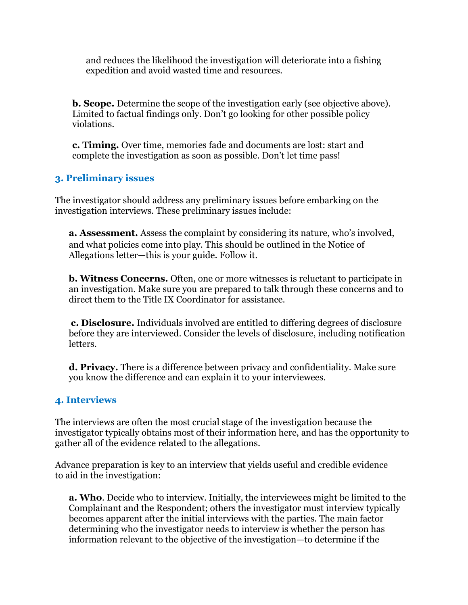and reduces the likelihood the investigation will deteriorate into a fishing expedition and avoid wasted time and resources.

**b. Scope.** Determine the scope of the investigation early (see objective above). Limited to factual findings only. Don't go looking for other possible policy violations.

 **c. Timing.** Over time, memories fade and documents are lost: start and complete the investigation as soon as possible. Don't let time pass!

#### **3. Preliminary issues**

The investigator should address any preliminary issues before embarking on the investigation interviews. These preliminary issues include:

**a. Assessment.** Assess the complaint by considering its nature, who's involved, and what policies come into play. This should be outlined in the Notice of Allegations letter—this is your guide. Follow it.

 an investigation. Make sure you are prepared to talk through these concerns and to **b. Witness Concerns.** Often, one or more witnesses is reluctant to participate in direct them to the Title IX Coordinator for assistance.

**c. Disclosure.** Individuals involved are entitled to differing degrees of disclosure before they are interviewed. Consider the levels of disclosure, including notification letters.

 you know the difference and can explain it to your interviewees. **d. Privacy.** There is a difference between privacy and confidentiality. Make sure

#### **4. Interviews**

The interviews are often the most crucial stage of the investigation because the investigator typically obtains most of their information here, and has the opportunity to gather all of the evidence related to the allegations.

Advance preparation is key to an interview that yields useful and credible evidence to aid in the investigation:

**a. Who**. Decide who to interview. Initially, the interviewees might be limited to the Complainant and the Respondent; others the investigator must interview typically becomes apparent after the initial interviews with the parties. The main factor determining who the investigator needs to interview is whether the person has information relevant to the objective of the investigation—to determine if the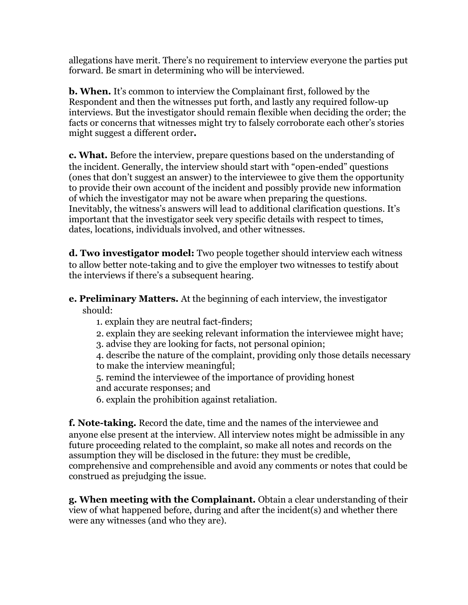allegations have merit. There's no requirement to interview everyone the parties put forward. Be smart in determining who will be interviewed.

**b. When.** It's common to interview the Complainant first, followed by the Respondent and then the witnesses put forth, and lastly any required follow-up interviews. But the investigator should remain flexible when deciding the order; the facts or concerns that witnesses might try to falsely corroborate each other's stories might suggest a different order**.** 

**c. What.** Before the interview, prepare questions based on the understanding of the incident. Generally, the interview should start with "open-ended" questions (ones that don't suggest an answer) to the interviewee to give them the opportunity to provide their own account of the incident and possibly provide new information of which the investigator may not be aware when preparing the questions. Inevitably, the witness's answers will lead to additional clarification questions. It's important that the investigator seek very specific details with respect to times, dates, locations, individuals involved, and other witnesses.

**d. Two investigator model:** Two people together should interview each witness to allow better note-taking and to give the employer two witnesses to testify about the interviews if there's a subsequent hearing.

**e. Preliminary Matters.** At the beginning of each interview, the investigator should:

- 1. explain they are neutral fact-finders;
- 2. explain they are seeking relevant information the interviewee might have;
- 3. advise they are looking for facts, not personal opinion;

4. describe the nature of the complaint, providing only those details necessary to make the interview meaningful;

5. remind the interviewee of the importance of providing honest and accurate responses; and

6. explain the prohibition against retaliation.

 anyone else present at the interview. All interview notes might be admissible in any **f. Note-taking.** Record the date, time and the names of the interviewee and future proceeding related to the complaint, so make all notes and records on the assumption they will be disclosed in the future: they must be credible, comprehensive and comprehensible and avoid any comments or notes that could be construed as prejudging the issue.

**g. When meeting with the Complainant.** Obtain a clear understanding of their view of what happened before, during and after the incident(s) and whether there were any witnesses (and who they are).